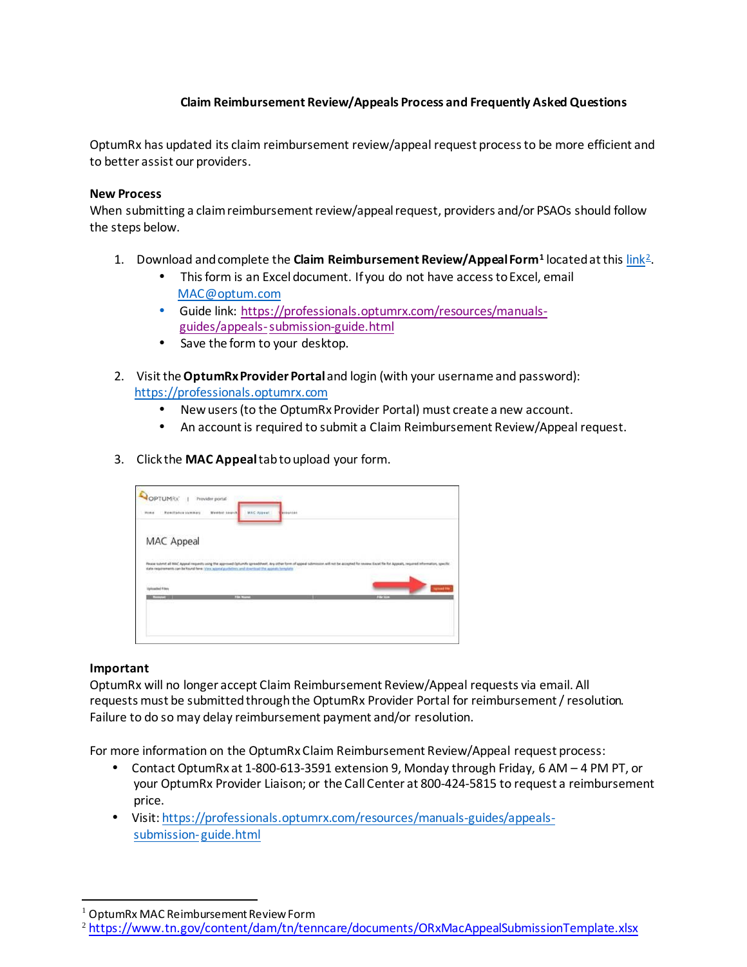# **Claim Reimbursement Review/Appeals Process and Frequently Asked Questions**

OptumRx has updated its claim reimbursement review/appeal request process to be more efficient and to better assist our providers.

#### **New Process**

When submitting a claim reimbursement review/appealrequest, providers and/or PSAOs should follow the steps below.

- 1. Download andcomplete the **Claim Reimbursement Review/AppealForm[1](#page-0-0)** locatedatthi[s link2.](https://professionals.optumrx.com/content/dam/optum/resources/Downloads/orx_mac_appealsubmissiontemplate_pharmacy.xlsx)
	- This form is an Excel document. If you do not have access to Excel, email [MAC@optum.com](mailto:MAC@optum.com)
	- Guide link: [https://professionals.optumrx.com/resources/manuals](https://professionals.optumrx.com/resources/manuals-guides/appeals-submission-guide.html)[guides/appeals-submission-guide.html](https://professionals.optumrx.com/resources/manuals-guides/appeals-submission-guide.html)
	- Save the form to your desktop.
- 2. Visit the**OptumRx Provider Portal** and login (with your username and password): [https://professionals.optumrx.com](https://professionals.optumrx.com/)
	- Newusers (to the OptumRx Provider Portal) must create a new account.
	- An account is required to submit a Claim Reimbursement Review/Appeal request.
- 3. Click the **MAC Appeal**tabtoupload your form.

| MAC Appeal<br>state requirements can be found here: your aggred guidebook and downtood the appoint formulate<br>salled Files | Please submit all NAC Appeal requests using the approved Optumbs spreadsheet. Are other form of appeal submission will not be accepted for review. Eacel file for Appeals Internation, specially |
|------------------------------------------------------------------------------------------------------------------------------|--------------------------------------------------------------------------------------------------------------------------------------------------------------------------------------------------|
|                                                                                                                              |                                                                                                                                                                                                  |
|                                                                                                                              |                                                                                                                                                                                                  |
|                                                                                                                              |                                                                                                                                                                                                  |
|                                                                                                                              | <b>Groad Fr</b>                                                                                                                                                                                  |
| <b>CONTINUES</b><br>---<br>----                                                                                              | 17.200                                                                                                                                                                                           |

### **Important**

OptumRx will no longer accept Claim Reimbursement Review/Appeal requests via email. All requests must be submitted throughthe OptumRx Provider Portal for reimbursement / resolution. Failure to do so may delay reimbursement payment and/or resolution.

For more information on the OptumRx Claim Reimbursement Review/Appeal request process:

- Contact OptumRx at 1-800-613-3591 extension 9, Monday through Friday, 6 AM 4 PM PT, or your OptumRx Provider Liaison; or the Call Center at 800-424-5815 to request a reimbursement price.
- Visit[: https://professionals.optumrx.com/resources/manuals-guides/appeals](https://professionals.optumrx.com/resources/manuals-guides/appeals-submission-guide.html)[submission-](https://professionals.optumrx.com/resources/manuals-guides/appeals-submission-guide.html) [guide.html](https://professionals.optumrx.com/resources/manuals-guides/appeals-submission-guide.html)

<span id="page-0-0"></span><sup>1</sup> OptumRx MAC Reimbursement Review Form

<span id="page-0-1"></span><sup>2</sup> [https://www.tn.gov/content/dam/tn/tenncare/documents/ORxMacAppealSubmissionTemplate](https://www.tn.gov/content/dam/tn/tenncare/documents/ORxMacAppealSubmissionTemplate.xlsx).xlsx